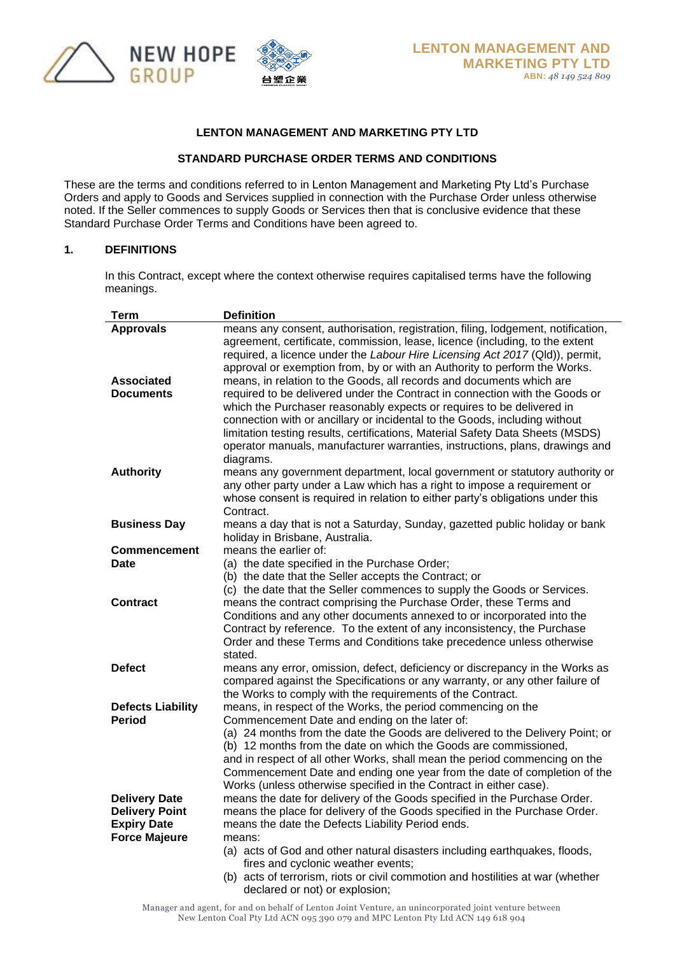

### **LENTON MANAGEMENT AND MARKETING PTY LTD**

### **STANDARD PURCHASE ORDER TERMS AND CONDITIONS**

These are the terms and conditions referred to in Lenton Management and Marketing Pty Ltd's Purchase Orders and apply to Goods and Services supplied in connection with the Purchase Order unless otherwise noted. If the Seller commences to supply Goods or Services then that is conclusive evidence that these Standard Purchase Order Terms and Conditions have been agreed to.

#### **1. DEFINITIONS**

In this Contract, except where the context otherwise requires capitalised terms have the following meanings.

| Term                                       | <b>Definition</b>                                                                                                                                                                                                                                                                                                                                                                                                                  |
|--------------------------------------------|------------------------------------------------------------------------------------------------------------------------------------------------------------------------------------------------------------------------------------------------------------------------------------------------------------------------------------------------------------------------------------------------------------------------------------|
| <b>Approvals</b>                           | means any consent, authorisation, registration, filing, lodgement, notification,                                                                                                                                                                                                                                                                                                                                                   |
|                                            | agreement, certificate, commission, lease, licence (including, to the extent<br>required, a licence under the Labour Hire Licensing Act 2017 (Qld)), permit,<br>approval or exemption from, by or with an Authority to perform the Works.                                                                                                                                                                                          |
| <b>Associated</b>                          | means, in relation to the Goods, all records and documents which are                                                                                                                                                                                                                                                                                                                                                               |
| <b>Documents</b>                           | required to be delivered under the Contract in connection with the Goods or<br>which the Purchaser reasonably expects or requires to be delivered in<br>connection with or ancillary or incidental to the Goods, including without<br>limitation testing results, certifications, Material Safety Data Sheets (MSDS)<br>operator manuals, manufacturer warranties, instructions, plans, drawings and<br>diagrams.                  |
| <b>Authority</b>                           | means any government department, local government or statutory authority or<br>any other party under a Law which has a right to impose a requirement or<br>whose consent is required in relation to either party's obligations under this<br>Contract.                                                                                                                                                                             |
| <b>Business Day</b>                        | means a day that is not a Saturday, Sunday, gazetted public holiday or bank<br>holiday in Brisbane, Australia.                                                                                                                                                                                                                                                                                                                     |
| <b>Commencement</b>                        | means the earlier of:                                                                                                                                                                                                                                                                                                                                                                                                              |
| Date                                       | (a) the date specified in the Purchase Order;                                                                                                                                                                                                                                                                                                                                                                                      |
|                                            | (b) the date that the Seller accepts the Contract; or                                                                                                                                                                                                                                                                                                                                                                              |
| <b>Contract</b>                            | (c) the date that the Seller commences to supply the Goods or Services.<br>means the contract comprising the Purchase Order, these Terms and<br>Conditions and any other documents annexed to or incorporated into the<br>Contract by reference. To the extent of any inconsistency, the Purchase<br>Order and these Terms and Conditions take precedence unless otherwise<br>stated.                                              |
| <b>Defect</b>                              | means any error, omission, defect, deficiency or discrepancy in the Works as<br>compared against the Specifications or any warranty, or any other failure of<br>the Works to comply with the requirements of the Contract.                                                                                                                                                                                                         |
| <b>Defects Liability</b>                   | means, in respect of the Works, the period commencing on the                                                                                                                                                                                                                                                                                                                                                                       |
| Period                                     | Commencement Date and ending on the later of:<br>(a) 24 months from the date the Goods are delivered to the Delivery Point; or<br>(b) 12 months from the date on which the Goods are commissioned,<br>and in respect of all other Works, shall mean the period commencing on the<br>Commencement Date and ending one year from the date of completion of the<br>Works (unless otherwise specified in the Contract in either case). |
| <b>Delivery Date</b>                       | means the date for delivery of the Goods specified in the Purchase Order.                                                                                                                                                                                                                                                                                                                                                          |
| <b>Delivery Point</b>                      | means the place for delivery of the Goods specified in the Purchase Order.                                                                                                                                                                                                                                                                                                                                                         |
| <b>Expiry Date</b><br><b>Force Majeure</b> | means the date the Defects Liability Period ends.<br>means:                                                                                                                                                                                                                                                                                                                                                                        |
|                                            | (a) acts of God and other natural disasters including earthquakes, floods,<br>fires and cyclonic weather events;<br>(b) acts of terrorism, riots or civil commotion and hostilities at war (whether                                                                                                                                                                                                                                |
|                                            | declared or not) or explosion;                                                                                                                                                                                                                                                                                                                                                                                                     |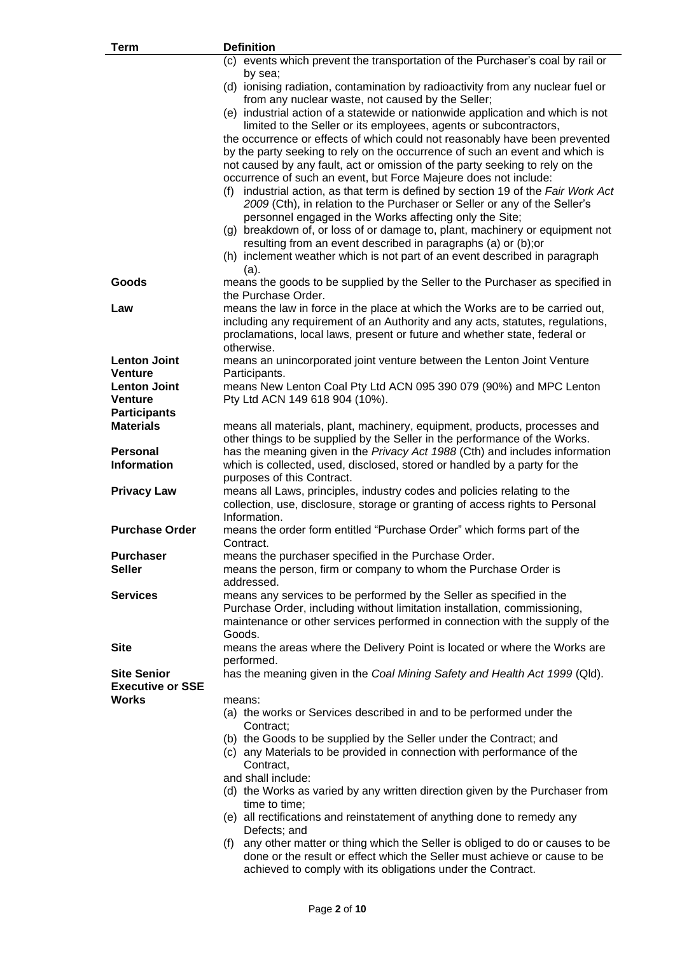| <b>Term</b>                           | <b>Definition</b>                                                                                                                                                                                                              |
|---------------------------------------|--------------------------------------------------------------------------------------------------------------------------------------------------------------------------------------------------------------------------------|
|                                       | (c) events which prevent the transportation of the Purchaser's coal by rail or                                                                                                                                                 |
|                                       | by sea;<br>(d) ionising radiation, contamination by radioactivity from any nuclear fuel or                                                                                                                                     |
|                                       | from any nuclear waste, not caused by the Seller;                                                                                                                                                                              |
|                                       | (e) industrial action of a statewide or nationwide application and which is not                                                                                                                                                |
|                                       | limited to the Seller or its employees, agents or subcontractors,<br>the occurrence or effects of which could not reasonably have been prevented                                                                               |
|                                       | by the party seeking to rely on the occurrence of such an event and which is                                                                                                                                                   |
|                                       | not caused by any fault, act or omission of the party seeking to rely on the                                                                                                                                                   |
|                                       | occurrence of such an event, but Force Majeure does not include:                                                                                                                                                               |
|                                       | (f) industrial action, as that term is defined by section 19 of the Fair Work Act<br>2009 (Cth), in relation to the Purchaser or Seller or any of the Seller's<br>personnel engaged in the Works affecting only the Site;      |
|                                       | (g) breakdown of, or loss of or damage to, plant, machinery or equipment not<br>resulting from an event described in paragraphs (a) or (b); or                                                                                 |
|                                       | (h) inclement weather which is not part of an event described in paragraph<br>(a).                                                                                                                                             |
| Goods                                 | means the goods to be supplied by the Seller to the Purchaser as specified in<br>the Purchase Order.                                                                                                                           |
| Law                                   | means the law in force in the place at which the Works are to be carried out,                                                                                                                                                  |
|                                       | including any requirement of an Authority and any acts, statutes, regulations,                                                                                                                                                 |
|                                       | proclamations, local laws, present or future and whether state, federal or                                                                                                                                                     |
|                                       | otherwise.                                                                                                                                                                                                                     |
| <b>Lenton Joint</b><br><b>Venture</b> | means an unincorporated joint venture between the Lenton Joint Venture<br>Participants.                                                                                                                                        |
| <b>Lenton Joint</b>                   | means New Lenton Coal Pty Ltd ACN 095 390 079 (90%) and MPC Lenton                                                                                                                                                             |
| <b>Venture</b>                        | Pty Ltd ACN 149 618 904 (10%).                                                                                                                                                                                                 |
| <b>Participants</b>                   |                                                                                                                                                                                                                                |
| <b>Materials</b>                      | means all materials, plant, machinery, equipment, products, processes and                                                                                                                                                      |
|                                       | other things to be supplied by the Seller in the performance of the Works.                                                                                                                                                     |
| <b>Personal</b><br><b>Information</b> | has the meaning given in the Privacy Act 1988 (Cth) and includes information<br>which is collected, used, disclosed, stored or handled by a party for the                                                                      |
|                                       | purposes of this Contract.                                                                                                                                                                                                     |
| <b>Privacy Law</b>                    | means all Laws, principles, industry codes and policies relating to the                                                                                                                                                        |
|                                       | collection, use, disclosure, storage or granting of access rights to Personal                                                                                                                                                  |
|                                       | Information.                                                                                                                                                                                                                   |
| <b>Purchase Order</b>                 | means the order form entitled "Purchase Order" which forms part of the<br>Contract.                                                                                                                                            |
| <b>Purchaser</b>                      | means the purchaser specified in the Purchase Order.                                                                                                                                                                           |
| <b>Seller</b>                         | means the person, firm or company to whom the Purchase Order is<br>addressed.                                                                                                                                                  |
| <b>Services</b>                       | means any services to be performed by the Seller as specified in the                                                                                                                                                           |
|                                       | Purchase Order, including without limitation installation, commissioning,<br>maintenance or other services performed in connection with the supply of the                                                                      |
|                                       | Goods.                                                                                                                                                                                                                         |
| <b>Site</b>                           | means the areas where the Delivery Point is located or where the Works are<br>performed.                                                                                                                                       |
| <b>Site Senior</b>                    | has the meaning given in the Coal Mining Safety and Health Act 1999 (Qld).                                                                                                                                                     |
| <b>Executive or SSE</b><br>Works      | means:                                                                                                                                                                                                                         |
|                                       | (a) the works or Services described in and to be performed under the<br>Contract:                                                                                                                                              |
|                                       | (b) the Goods to be supplied by the Seller under the Contract; and                                                                                                                                                             |
|                                       | (c) any Materials to be provided in connection with performance of the<br>Contract,                                                                                                                                            |
|                                       | and shall include:                                                                                                                                                                                                             |
|                                       | (d) the Works as varied by any written direction given by the Purchaser from<br>time to time;                                                                                                                                  |
|                                       | (e) all rectifications and reinstatement of anything done to remedy any<br>Defects; and                                                                                                                                        |
|                                       | any other matter or thing which the Seller is obliged to do or causes to be<br>(f)<br>done or the result or effect which the Seller must achieve or cause to be<br>achieved to comply with its obligations under the Contract. |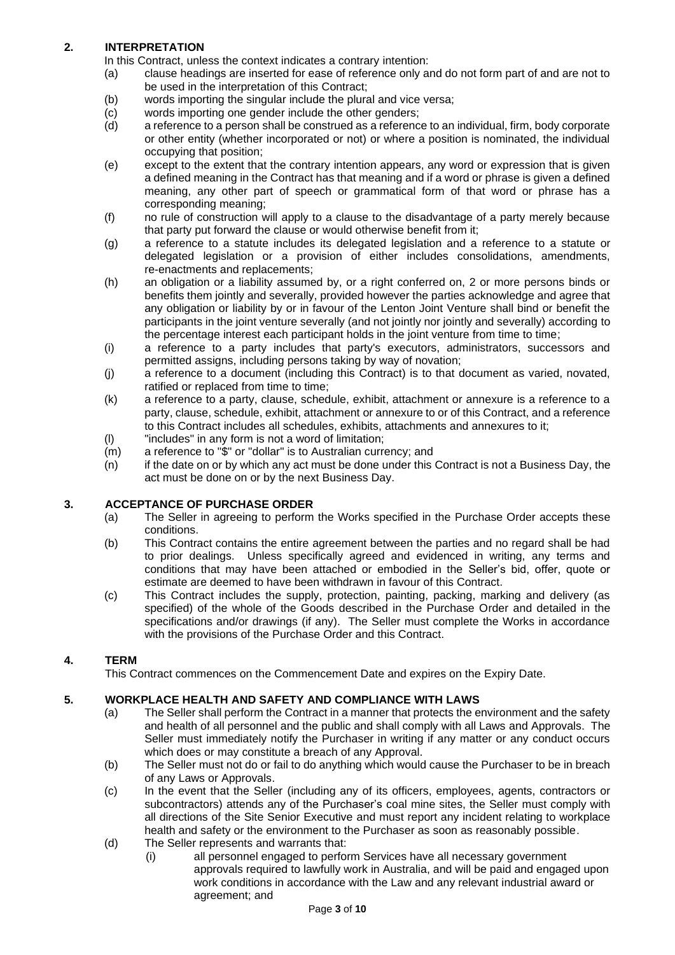### **2. INTERPRETATION**

In this Contract, unless the context indicates a contrary intention:

- (a) clause headings are inserted for ease of reference only and do not form part of and are not to be used in the interpretation of this Contract;
- (b) words importing the singular include the plural and vice versa;
- (c) words importing one gender include the other genders;
- (d) a reference to a person shall be construed as a reference to an individual, firm, body corporate or other entity (whether incorporated or not) or where a position is nominated, the individual occupying that position;
- (e) except to the extent that the contrary intention appears, any word or expression that is given a defined meaning in the Contract has that meaning and if a word or phrase is given a defined meaning, any other part of speech or grammatical form of that word or phrase has a corresponding meaning;
- (f) no rule of construction will apply to a clause to the disadvantage of a party merely because that party put forward the clause or would otherwise benefit from it;
- (g) a reference to a statute includes its delegated legislation and a reference to a statute or delegated legislation or a provision of either includes consolidations, amendments, re-enactments and replacements;
- (h) an obligation or a liability assumed by, or a right conferred on, 2 or more persons binds or benefits them jointly and severally, provided however the parties acknowledge and agree that any obligation or liability by or in favour of the Lenton Joint Venture shall bind or benefit the participants in the joint venture severally (and not jointly nor jointly and severally) according to the percentage interest each participant holds in the joint venture from time to time;
- (i) a reference to a party includes that party's executors, administrators, successors and permitted assigns, including persons taking by way of novation;
- (j) a reference to a document (including this Contract) is to that document as varied, novated, ratified or replaced from time to time;
- (k) a reference to a party, clause, schedule, exhibit, attachment or annexure is a reference to a party, clause, schedule, exhibit, attachment or annexure to or of this Contract, and a reference to this Contract includes all schedules, exhibits, attachments and annexures to it;
- (l) "includes" in any form is not a word of limitation;
- (m) a reference to "\$" or "dollar" is to Australian currency; and
- (n) if the date on or by which any act must be done under this Contract is not a Business Day, the act must be done on or by the next Business Day.

### **3. ACCEPTANCE OF PURCHASE ORDER**

- (a) The Seller in agreeing to perform the Works specified in the Purchase Order accepts these conditions.
- (b) This Contract contains the entire agreement between the parties and no regard shall be had to prior dealings. Unless specifically agreed and evidenced in writing, any terms and conditions that may have been attached or embodied in the Seller's bid, offer, quote or estimate are deemed to have been withdrawn in favour of this Contract.
- (c) This Contract includes the supply, protection, painting, packing, marking and delivery (as specified) of the whole of the Goods described in the Purchase Order and detailed in the specifications and/or drawings (if any). The Seller must complete the Works in accordance with the provisions of the Purchase Order and this Contract.

### **4. TERM**

This Contract commences on the Commencement Date and expires on the Expiry Date.

### **5. WORKPLACE HEALTH AND SAFETY AND COMPLIANCE WITH LAWS**

- (a) The Seller shall perform the Contract in a manner that protects the environment and the safety and health of all personnel and the public and shall comply with all Laws and Approvals. The Seller must immediately notify the Purchaser in writing if any matter or any conduct occurs which does or may constitute a breach of any Approval.
- (b) The Seller must not do or fail to do anything which would cause the Purchaser to be in breach of any Laws or Approvals.
- (c) In the event that the Seller (including any of its officers, employees, agents, contractors or subcontractors) attends any of the Purchaser's coal mine sites, the Seller must comply with all directions of the Site Senior Executive and must report any incident relating to workplace health and safety or the environment to the Purchaser as soon as reasonably possible.
- (d) The Seller represents and warrants that:
	- (i) all personnel engaged to perform Services have all necessary government approvals required to lawfully work in Australia, and will be paid and engaged upon work conditions in accordance with the Law and any relevant industrial award or agreement; and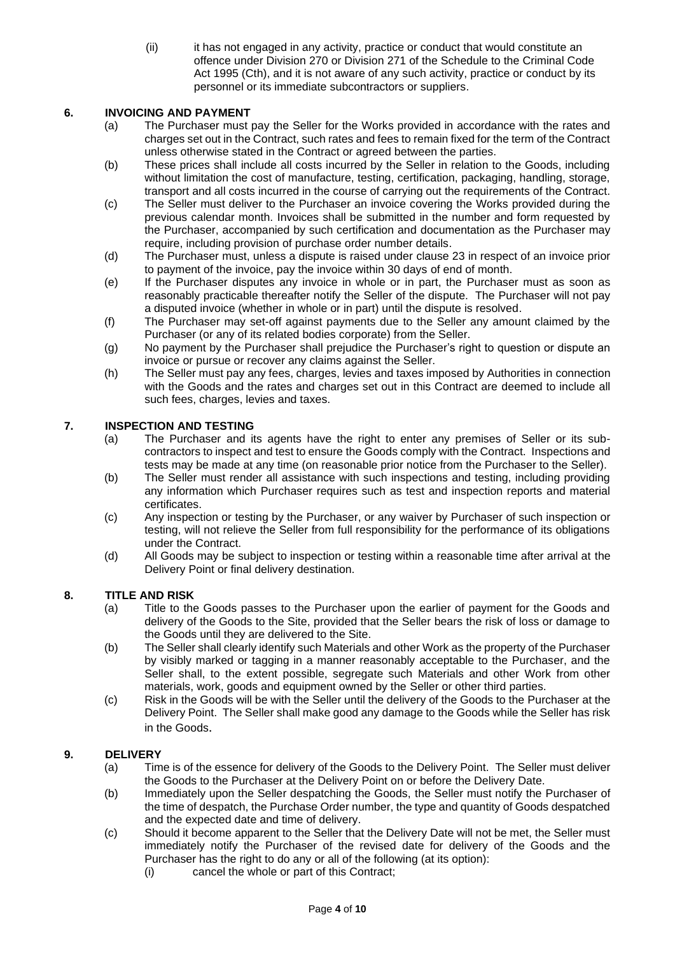(ii) it has not engaged in any activity, practice or conduct that would constitute an offence under Division 270 or Division 271 of the Schedule to the Criminal Code Act 1995 (Cth), and it is not aware of any such activity, practice or conduct by its personnel or its immediate subcontractors or suppliers.

### **6. INVOICING AND PAYMENT**

- (a) The Purchaser must pay the Seller for the Works provided in accordance with the rates and charges set out in the Contract, such rates and fees to remain fixed for the term of the Contract unless otherwise stated in the Contract or agreed between the parties.
- (b) These prices shall include all costs incurred by the Seller in relation to the Goods, including without limitation the cost of manufacture, testing, certification, packaging, handling, storage, transport and all costs incurred in the course of carrying out the requirements of the Contract.
- (c) The Seller must deliver to the Purchaser an invoice covering the Works provided during the previous calendar month. Invoices shall be submitted in the number and form requested by the Purchaser, accompanied by such certification and documentation as the Purchaser may require, including provision of purchase order number details.
- (d) The Purchaser must, unless a dispute is raised under clause [23](#page-8-0) in respect of an invoice prior to payment of the invoice, pay the invoice within 30 days of end of month.
- (e) If the Purchaser disputes any invoice in whole or in part, the Purchaser must as soon as reasonably practicable thereafter notify the Seller of the dispute. The Purchaser will not pay a disputed invoice (whether in whole or in part) until the dispute is resolved.
- (f) The Purchaser may set-off against payments due to the Seller any amount claimed by the Purchaser (or any of its related bodies corporate) from the Seller.
- (g) No payment by the Purchaser shall prejudice the Purchaser's right to question or dispute an invoice or pursue or recover any claims against the Seller.
- (h) The Seller must pay any fees, charges, levies and taxes imposed by Authorities in connection with the Goods and the rates and charges set out in this Contract are deemed to include all such fees, charges, levies and taxes.

### **7. INSPECTION AND TESTING**

- (a) The Purchaser and its agents have the right to enter any premises of Seller or its subcontractors to inspect and test to ensure the Goods comply with the Contract. Inspections and tests may be made at any time (on reasonable prior notice from the Purchaser to the Seller).
- (b) The Seller must render all assistance with such inspections and testing, including providing any information which Purchaser requires such as test and inspection reports and material certificates.
- (c) Any inspection or testing by the Purchaser, or any waiver by Purchaser of such inspection or testing, will not relieve the Seller from full responsibility for the performance of its obligations under the Contract.
- (d) All Goods may be subject to inspection or testing within a reasonable time after arrival at the Delivery Point or final delivery destination.

### **8. TITLE AND RISK**

- (a) Title to the Goods passes to the Purchaser upon the earlier of payment for the Goods and delivery of the Goods to the Site, provided that the Seller bears the risk of loss or damage to the Goods until they are delivered to the Site.
- (b) The Seller shall clearly identify such Materials and other Work as the property of the Purchaser by visibly marked or tagging in a manner reasonably acceptable to the Purchaser, and the Seller shall, to the extent possible, segregate such Materials and other Work from other materials, work, goods and equipment owned by the Seller or other third parties.
- (c) Risk in the Goods will be with the Seller until the delivery of the Goods to the Purchaser at the Delivery Point. The Seller shall make good any damage to the Goods while the Seller has risk in the Goods.

### **9. DELIVERY**

- (a) Time is of the essence for delivery of the Goods to the Delivery Point. The Seller must deliver the Goods to the Purchaser at the Delivery Point on or before the Delivery Date.
- (b) Immediately upon the Seller despatching the Goods, the Seller must notify the Purchaser of the time of despatch, the Purchase Order number, the type and quantity of Goods despatched and the expected date and time of delivery.
- (c) Should it become apparent to the Seller that the Delivery Date will not be met, the Seller must immediately notify the Purchaser of the revised date for delivery of the Goods and the Purchaser has the right to do any or all of the following (at its option):
	- (i) cancel the whole or part of this Contract;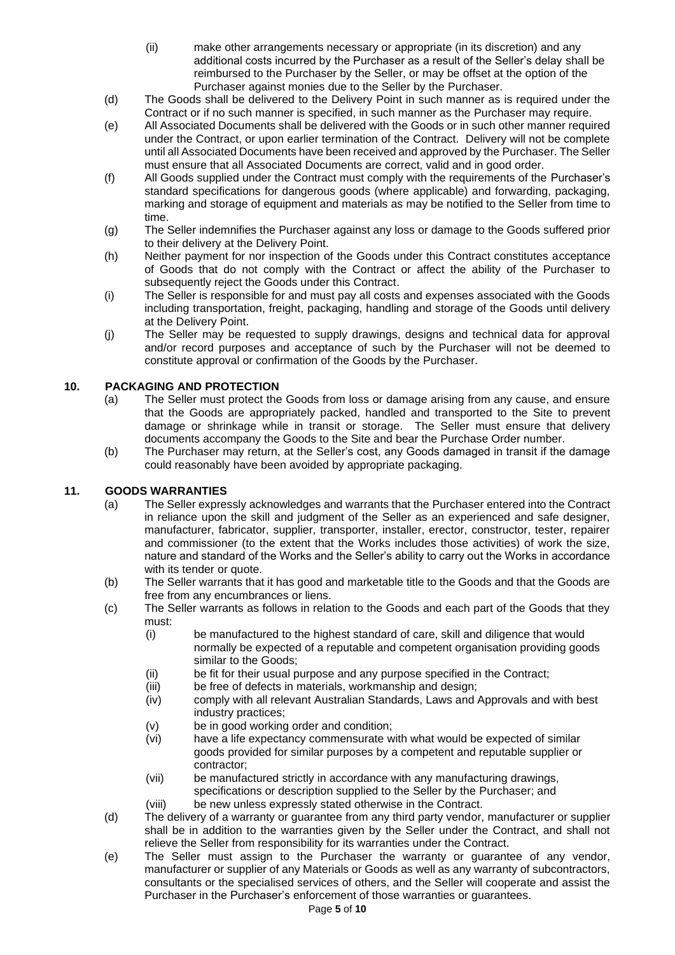- (ii) make other arrangements necessary or appropriate (in its discretion) and any additional costs incurred by the Purchaser as a result of the Seller's delay shall be reimbursed to the Purchaser by the Seller, or may be offset at the option of the Purchaser against monies due to the Seller by the Purchaser.
- (d) The Goods shall be delivered to the Delivery Point in such manner as is required under the Contract or if no such manner is specified, in such manner as the Purchaser may require.
- (e) All Associated Documents shall be delivered with the Goods or in such other manner required under the Contract, or upon earlier termination of the Contract. Delivery will not be complete until all Associated Documents have been received and approved by the Purchaser. The Seller must ensure that all Associated Documents are correct, valid and in good order.
- (f) All Goods supplied under the Contract must comply with the requirements of the Purchaser's standard specifications for dangerous goods (where applicable) and forwarding, packaging, marking and storage of equipment and materials as may be notified to the Seller from time to time.
- (g) The Seller indemnifies the Purchaser against any loss or damage to the Goods suffered prior to their delivery at the Delivery Point.
- (h) Neither payment for nor inspection of the Goods under this Contract constitutes acceptance of Goods that do not comply with the Contract or affect the ability of the Purchaser to subsequently reject the Goods under this Contract.
- (i) The Seller is responsible for and must pay all costs and expenses associated with the Goods including transportation, freight, packaging, handling and storage of the Goods until delivery at the Delivery Point.
- (j) The Seller may be requested to supply drawings, designs and technical data for approval and/or record purposes and acceptance of such by the Purchaser will not be deemed to constitute approval or confirmation of the Goods by the Purchaser.

# **10. PACKAGING AND PROTECTION**

- (a) The Seller must protect the Goods from loss or damage arising from any cause, and ensure that the Goods are appropriately packed, handled and transported to the Site to prevent damage or shrinkage while in transit or storage. The Seller must ensure that delivery documents accompany the Goods to the Site and bear the Purchase Order number.
- (b) The Purchaser may return, at the Seller's cost, any Goods damaged in transit if the damage could reasonably have been avoided by appropriate packaging.

### **11. GOODS WARRANTIES**

- (a) The Seller expressly acknowledges and warrants that the Purchaser entered into the Contract in reliance upon the skill and judgment of the Seller as an experienced and safe designer, manufacturer, fabricator, supplier, transporter, installer, erector, constructor, tester, repairer and commissioner (to the extent that the Works includes those activities) of work the size, nature and standard of the Works and the Seller's ability to carry out the Works in accordance with its tender or quote.
- (b) The Seller warrants that it has good and marketable title to the Goods and that the Goods are free from any encumbrances or liens.
- (c) The Seller warrants as follows in relation to the Goods and each part of the Goods that they must:
	- (i) be manufactured to the highest standard of care, skill and diligence that would normally be expected of a reputable and competent organisation providing goods similar to the Goods;
	- (ii) be fit for their usual purpose and any purpose specified in the Contract;
	- (iii) be free of defects in materials, workmanship and design;
	- (iv) comply with all relevant Australian Standards, Laws and Approvals and with best industry practices;
	- (v) be in good working order and condition;
	- (vi) have a life expectancy commensurate with what would be expected of similar goods provided for similar purposes by a competent and reputable supplier or contractor;
	- (vii) be manufactured strictly in accordance with any manufacturing drawings, specifications or description supplied to the Seller by the Purchaser; and
	- (viii) be new unless expressly stated otherwise in the Contract.
- (d) The delivery of a warranty or guarantee from any third party vendor, manufacturer or supplier shall be in addition to the warranties given by the Seller under the Contract, and shall not relieve the Seller from responsibility for its warranties under the Contract.
- (e) The Seller must assign to the Purchaser the warranty or guarantee of any vendor, manufacturer or supplier of any Materials or Goods as well as any warranty of subcontractors, consultants or the specialised services of others, and the Seller will cooperate and assist the Purchaser in the Purchaser's enforcement of those warranties or guarantees.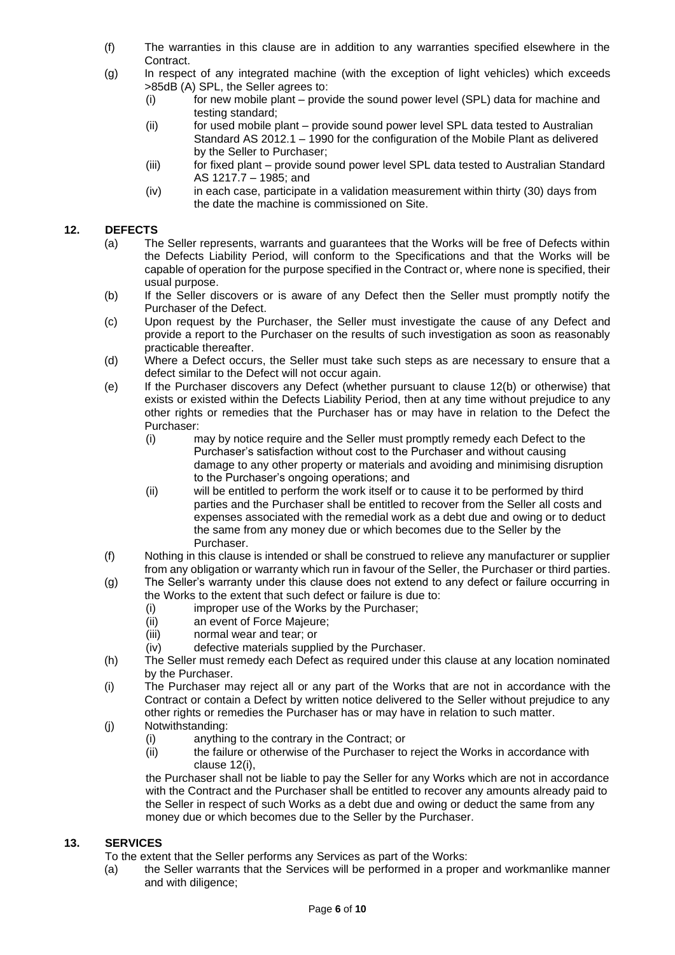- (f) The warranties in this clause are in addition to any warranties specified elsewhere in the Contract.
- (g) In respect of any integrated machine (with the exception of light vehicles) which exceeds >85dB (A) SPL, the Seller agrees to:
	- (i) for new mobile plant provide the sound power level (SPL) data for machine and testing standard;
	- (ii) for used mobile plant provide sound power level SPL data tested to Australian Standard AS 2012.1 – 1990 for the configuration of the Mobile Plant as delivered by the Seller to Purchaser;
	- (iii) for fixed plant provide sound power level SPL data tested to Australian Standard AS 1217.7 – 1985; and
	- (iv) in each case, participate in a validation measurement within thirty (30) days from the date the machine is commissioned on Site.

## <span id="page-5-0"></span>**12. DEFECTS**

- (a) The Seller represents, warrants and guarantees that the Works will be free of Defects within the Defects Liability Period, will conform to the Specifications and that the Works will be capable of operation for the purpose specified in the Contract or, where none is specified, their usual purpose.
- <span id="page-5-1"></span>(b) If the Seller discovers or is aware of any Defect then the Seller must promptly notify the Purchaser of the Defect.
- (c) Upon request by the Purchaser, the Seller must investigate the cause of any Defect and provide a report to the Purchaser on the results of such investigation as soon as reasonably practicable thereafter.
- (d) Where a Defect occurs, the Seller must take such steps as are necessary to ensure that a defect similar to the Defect will not occur again.
- (e) If the Purchaser discovers any Defect (whether pursuant to clause [12](#page-5-0)[\(b\)](#page-5-1) or otherwise) that exists or existed within the Defects Liability Period, then at any time without prejudice to any other rights or remedies that the Purchaser has or may have in relation to the Defect the Purchaser:
	- (i) may by notice require and the Seller must promptly remedy each Defect to the Purchaser's satisfaction without cost to the Purchaser and without causing damage to any other property or materials and avoiding and minimising disruption to the Purchaser's ongoing operations; and
	- (ii) will be entitled to perform the work itself or to cause it to be performed by third parties and the Purchaser shall be entitled to recover from the Seller all costs and expenses associated with the remedial work as a debt due and owing or to deduct the same from any money due or which becomes due to the Seller by the Purchaser.
- (f) Nothing in this clause is intended or shall be construed to relieve any manufacturer or supplier from any obligation or warranty which run in favour of the Seller, the Purchaser or third parties.
- (g) The Seller's warranty under this clause does not extend to any defect or failure occurring in the Works to the extent that such defect or failure is due to:
	- (i) improper use of the Works by the Purchaser;
	- (ii) an event of Force Majeure;
	- (iii) normal wear and tear; or
	- (iv) defective materials supplied by the Purchaser.
- (h) The Seller must remedy each Defect as required under this clause at any location nominated by the Purchaser.
- <span id="page-5-2"></span>(i) The Purchaser may reject all or any part of the Works that are not in accordance with the Contract or contain a Defect by written notice delivered to the Seller without prejudice to any other rights or remedies the Purchaser has or may have in relation to such matter.
- (j) Notwithstanding:
	- (i) anything to the contrary in the Contract; or
	- (ii) the failure or otherwise of the Purchaser to reject the Works in accordance with clause [12](#page-5-0)[\(i\),](#page-5-2)

the Purchaser shall not be liable to pay the Seller for any Works which are not in accordance with the Contract and the Purchaser shall be entitled to recover any amounts already paid to the Seller in respect of such Works as a debt due and owing or deduct the same from any money due or which becomes due to the Seller by the Purchaser.

# **13. SERVICES**

- To the extent that the Seller performs any Services as part of the Works:
- (a) the Seller warrants that the Services will be performed in a proper and workmanlike manner and with diligence;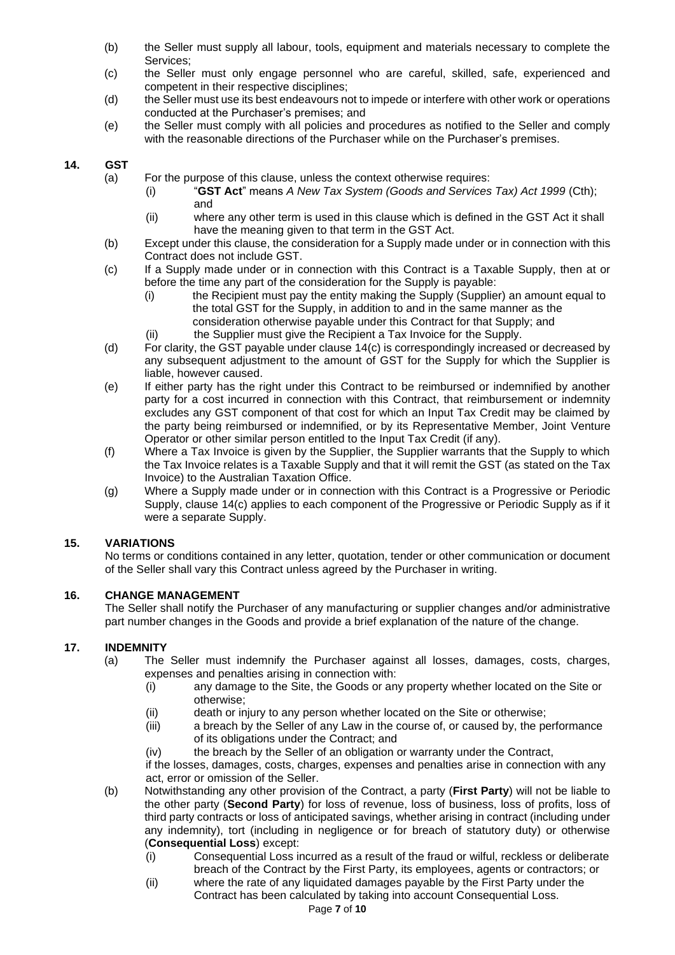- (b) the Seller must supply all labour, tools, equipment and materials necessary to complete the Services;
- (c) the Seller must only engage personnel who are careful, skilled, safe, experienced and competent in their respective disciplines;
- (d) the Seller must use its best endeavours not to impede or interfere with other work or operations conducted at the Purchaser's premises; and
- (e) the Seller must comply with all policies and procedures as notified to the Seller and comply with the reasonable directions of the Purchaser while on the Purchaser's premises.

## <span id="page-6-0"></span>**14. GST**

- (a) For the purpose of this clause, unless the context otherwise requires:
	- (i) "**GST Act**" means *A New Tax System (Goods and Services Tax) Act 1999* (Cth); and
	- (ii) where any other term is used in this clause which is defined in the GST Act it shall have the meaning given to that term in the GST Act.
- (b) Except under this clause, the consideration for a Supply made under or in connection with this Contract does not include GST.
- <span id="page-6-1"></span>(c) If a Supply made under or in connection with this Contract is a Taxable Supply, then at or before the time any part of the consideration for the Supply is payable:
	- (i) the Recipient must pay the entity making the Supply (Supplier) an amount equal to the total GST for the Supply, in addition to and in the same manner as the consideration otherwise payable under this Contract for that Supply; and
	- (ii) the Supplier must give the Recipient a Tax Invoice for the Supply.
- (d) For clarity, the GST payable under clause [14](#page-6-0)[\(c\)](#page-6-1) is correspondingly increased or decreased by any subsequent adjustment to the amount of GST for the Supply for which the Supplier is liable, however caused.
- (e) If either party has the right under this Contract to be reimbursed or indemnified by another party for a cost incurred in connection with this Contract, that reimbursement or indemnity excludes any GST component of that cost for which an Input Tax Credit may be claimed by the party being reimbursed or indemnified, or by its Representative Member, Joint Venture Operator or other similar person entitled to the Input Tax Credit (if any).
- (f) Where a Tax Invoice is given by the Supplier, the Supplier warrants that the Supply to which the Tax Invoice relates is a Taxable Supply and that it will remit the GST (as stated on the Tax Invoice) to the Australian Taxation Office.
- (g) Where a Supply made under or in connection with this Contract is a Progressive or Periodic Supply, clause [14](#page-6-0)[\(c\)](#page-6-1) applies to each component of the Progressive or Periodic Supply as if it were a separate Supply.

# **15. VARIATIONS**

No terms or conditions contained in any letter, quotation, tender or other communication or document of the Seller shall vary this Contract unless agreed by the Purchaser in writing.

### **16. CHANGE MANAGEMENT**

The Seller shall notify the Purchaser of any manufacturing or supplier changes and/or administrative part number changes in the Goods and provide a brief explanation of the nature of the change.

### **17. INDEMNITY**

- (a) The Seller must indemnify the Purchaser against all losses, damages, costs, charges, expenses and penalties arising in connection with:
	- (i) any damage to the Site, the Goods or any property whether located on the Site or otherwise;
	- (ii) death or injury to any person whether located on the Site or otherwise;
	- (iii) a breach by the Seller of any Law in the course of, or caused by, the performance of its obligations under the Contract; and
	- (iv) the breach by the Seller of an obligation or warranty under the Contract,

if the losses, damages, costs, charges, expenses and penalties arise in connection with any act, error or omission of the Seller.

- (b) Notwithstanding any other provision of the Contract, a party (**First Party**) will not be liable to the other party (**Second Party**) for loss of revenue, loss of business, loss of profits, loss of third party contracts or loss of anticipated savings, whether arising in contract (including under any indemnity), tort (including in negligence or for breach of statutory duty) or otherwise (**Consequential Loss**) except:
	- (i) Consequential Loss incurred as a result of the fraud or wilful, reckless or deliberate breach of the Contract by the First Party, its employees, agents or contractors; or
	- (ii) where the rate of any liquidated damages payable by the First Party under the Contract has been calculated by taking into account Consequential Loss.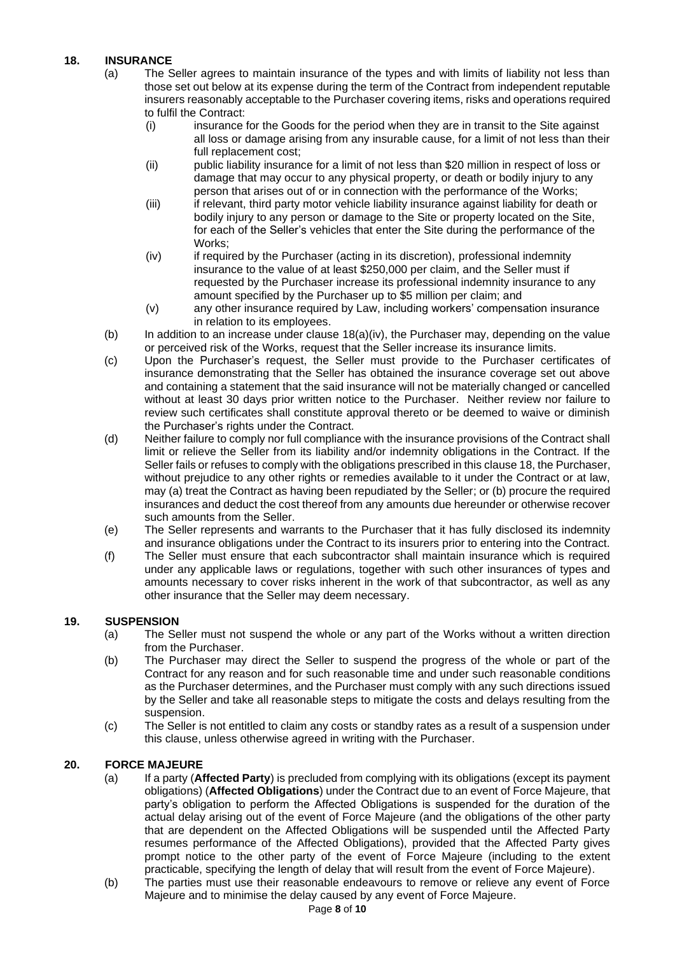# <span id="page-7-1"></span><span id="page-7-0"></span>**18. INSURANCE**

- (a) The Seller agrees to maintain insurance of the types and with limits of liability not less than those set out below at its expense during the term of the Contract from independent reputable insurers reasonably acceptable to the Purchaser covering items, risks and operations required to fulfil the Contract:
	- (i) insurance for the Goods for the period when they are in transit to the Site against all loss or damage arising from any insurable cause, for a limit of not less than their full replacement cost;
	- (ii) public liability insurance for a limit of not less than \$20 million in respect of loss or damage that may occur to any physical property, or death or bodily injury to any person that arises out of or in connection with the performance of the Works;
	- (iii) if relevant, third party motor vehicle liability insurance against liability for death or bodily injury to any person or damage to the Site or property located on the Site, for each of the Seller's vehicles that enter the Site during the performance of the Works;
	- (iv) if required by the Purchaser (acting in its discretion), professional indemnity insurance to the value of at least \$250,000 per claim, and the Seller must if requested by the Purchaser increase its professional indemnity insurance to any amount specified by the Purchaser up to \$5 million per claim; and
	- (v) any other insurance required by Law, including workers' compensation insurance in relation to its employees.
- <span id="page-7-2"></span>(b) In addition to an increase under clause  $18(a)(iv)$  $18(a)(iv)$  $18(a)(iv)$ , the Purchaser may, depending on the value or perceived risk of the Works, request that the Seller increase its insurance limits.
- (c) Upon the Purchaser's request, the Seller must provide to the Purchaser certificates of insurance demonstrating that the Seller has obtained the insurance coverage set out above and containing a statement that the said insurance will not be materially changed or cancelled without at least 30 days prior written notice to the Purchaser. Neither review nor failure to review such certificates shall constitute approval thereto or be deemed to waive or diminish the Purchaser's rights under the Contract.
- (d) Neither failure to comply nor full compliance with the insurance provisions of the Contract shall limit or relieve the Seller from its liability and/or indemnity obligations in the Contract. If the Seller fails or refuses to comply with the obligations prescribed in this claus[e 18,](#page-7-0) the Purchaser, without prejudice to any other rights or remedies available to it under the Contract or at law, may (a) treat the Contract as having been repudiated by the Seller; or (b) procure the required insurances and deduct the cost thereof from any amounts due hereunder or otherwise recover such amounts from the Seller.
- (e) The Seller represents and warrants to the Purchaser that it has fully disclosed its indemnity and insurance obligations under the Contract to its insurers prior to entering into the Contract.
- (f) The Seller must ensure that each subcontractor shall maintain insurance which is required under any applicable laws or regulations, together with such other insurances of types and amounts necessary to cover risks inherent in the work of that subcontractor, as well as any other insurance that the Seller may deem necessary.

# **19. SUSPENSION**

- (a) The Seller must not suspend the whole or any part of the Works without a written direction from the Purchaser.
- (b) The Purchaser may direct the Seller to suspend the progress of the whole or part of the Contract for any reason and for such reasonable time and under such reasonable conditions as the Purchaser determines, and the Purchaser must comply with any such directions issued by the Seller and take all reasonable steps to mitigate the costs and delays resulting from the suspension.
- (c) The Seller is not entitled to claim any costs or standby rates as a result of a suspension under this clause, unless otherwise agreed in writing with the Purchaser.

# **20. FORCE MAJEURE**

- (a) If a party (**Affected Party**) is precluded from complying with its obligations (except its payment obligations) (**Affected Obligations**) under the Contract due to an event of Force Majeure, that party's obligation to perform the Affected Obligations is suspended for the duration of the actual delay arising out of the event of Force Majeure (and the obligations of the other party that are dependent on the Affected Obligations will be suspended until the Affected Party resumes performance of the Affected Obligations), provided that the Affected Party gives prompt notice to the other party of the event of Force Majeure (including to the extent practicable, specifying the length of delay that will result from the event of Force Majeure).
- (b) The parties must use their reasonable endeavours to remove or relieve any event of Force Majeure and to minimise the delay caused by any event of Force Majeure.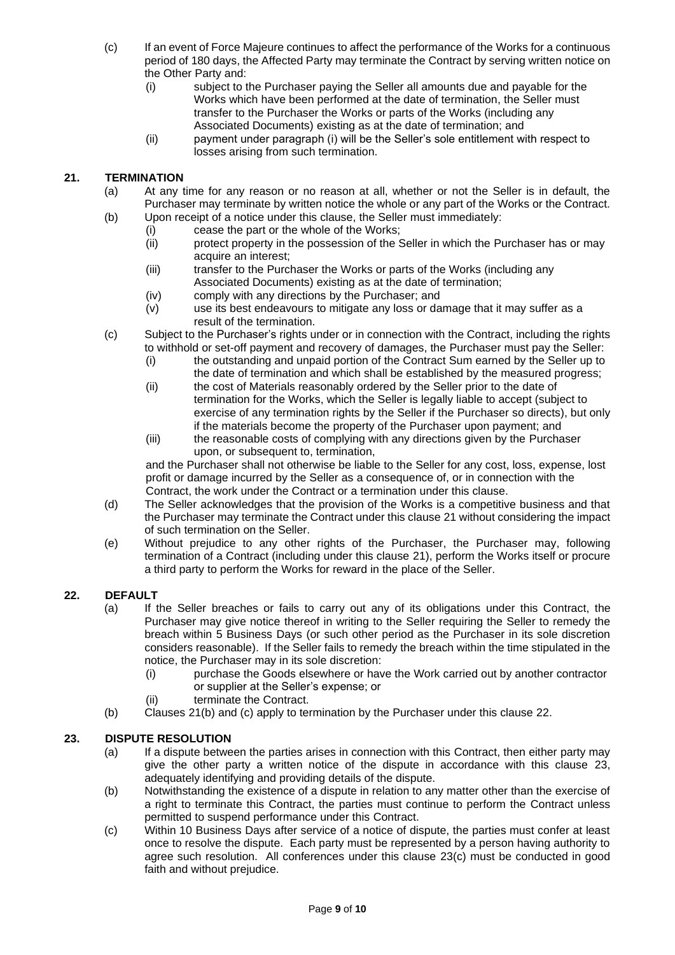- (c) If an event of Force Majeure continues to affect the performance of the Works for a continuous period of 180 days, the Affected Party may terminate the Contract by serving written notice on the Other Party and:
	- (i) subject to the Purchaser paying the Seller all amounts due and payable for the Works which have been performed at the date of termination, the Seller must transfer to the Purchaser the Works or parts of the Works (including any Associated Documents) existing as at the date of termination; and
	- (ii) payment under paragraph (i) will be the Seller's sole entitlement with respect to losses arising from such termination.

## <span id="page-8-2"></span><span id="page-8-1"></span>**21. TERMINATION**

- (a) At any time for any reason or no reason at all, whether or not the Seller is in default, the Purchaser may terminate by written notice the whole or any part of the Works or the Contract. (b) Upon receipt of a notice under this clause, the Seller must immediately:
	- (i) cease the part or the whole of the Works;
		- (ii) protect property in the possession of the Seller in which the Purchaser has or may acquire an interest;
		- (iii) transfer to the Purchaser the Works or parts of the Works (including any Associated Documents) existing as at the date of termination;
		- (iv) comply with any directions by the Purchaser; and
		- (v) use its best endeavours to mitigate any loss or damage that it may suffer as a result of the termination.
- <span id="page-8-3"></span>(c) Subject to the Purchaser's rights under or in connection with the Contract, including the rights to withhold or set-off payment and recovery of damages, the Purchaser must pay the Seller:
	- (i) the outstanding and unpaid portion of the Contract Sum earned by the Seller up to the date of termination and which shall be established by the measured progress;
	- (ii) the cost of Materials reasonably ordered by the Seller prior to the date of termination for the Works, which the Seller is legally liable to accept (subject to exercise of any termination rights by the Seller if the Purchaser so directs), but only if the materials become the property of the Purchaser upon payment; and
	- (iii) the reasonable costs of complying with any directions given by the Purchaser upon, or subsequent to, termination,

and the Purchaser shall not otherwise be liable to the Seller for any cost, loss, expense, lost profit or damage incurred by the Seller as a consequence of, or in connection with the Contract, the work under the Contract or a termination under this clause.

- (d) The Seller acknowledges that the provision of the Works is a competitive business and that the Purchaser may terminate the Contract under this clause [21](#page-8-1) without considering the impact of such termination on the Seller.
- (e) Without prejudice to any other rights of the Purchaser, the Purchaser may, following termination of a Contract (including under this clause [21\)](#page-8-1), perform the Works itself or procure a third party to perform the Works for reward in the place of the Seller.

### <span id="page-8-4"></span>**22. DEFAULT**

- (a) If the Seller breaches or fails to carry out any of its obligations under this Contract, the Purchaser may give notice thereof in writing to the Seller requiring the Seller to remedy the breach within 5 Business Days (or such other period as the Purchaser in its sole discretion considers reasonable). If the Seller fails to remedy the breach within the time stipulated in the notice, the Purchaser may in its sole discretion:
	- (i) purchase the Goods elsewhere or have the Work carried out by another contractor or supplier at the Seller's expense; or
	- (ii) terminate the Contract.
- (b) Clauses [21](#page-8-1)[\(b\)](#page-8-2) and [\(c\)](#page-8-3) apply to termination by the Purchaser under this clause [22.](#page-8-4)

# <span id="page-8-0"></span>**23. DISPUTE RESOLUTION**

- (a) If a dispute between the parties arises in connection with this Contract, then either party may give the other party a written notice of the dispute in accordance with this clause [23,](#page-8-0) adequately identifying and providing details of the dispute.
- (b) Notwithstanding the existence of a dispute in relation to any matter other than the exercise of a right to terminate this Contract, the parties must continue to perform the Contract unless permitted to suspend performance under this Contract.
- <span id="page-8-5"></span>(c) Within 10 Business Days after service of a notice of dispute, the parties must confer at least once to resolve the dispute. Each party must be represented by a person having authority to agree such resolution. All conferences under this clause [23](#page-8-0)[\(c\)](#page-8-5) must be conducted in good faith and without prejudice.